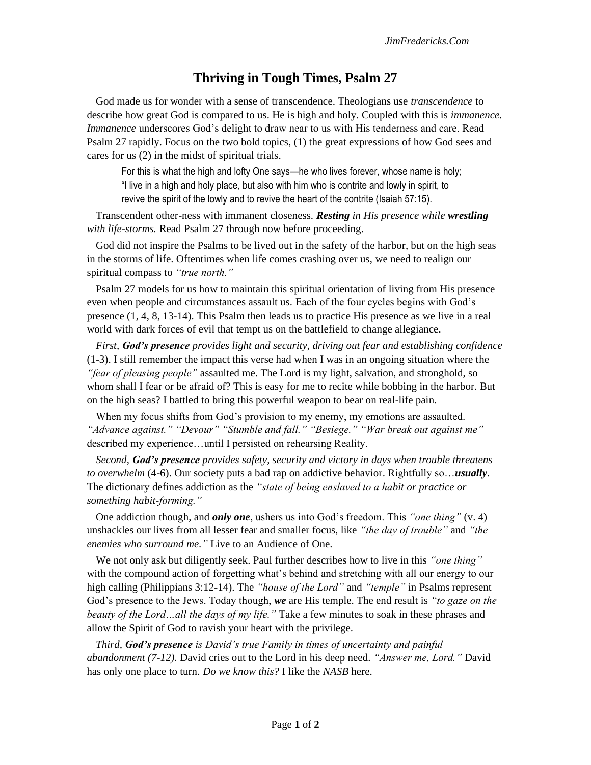## **Thriving in Tough Times, Psalm 27**

God made us for wonder with a sense of transcendence. Theologians use *transcendence* to describe how great God is compared to us. He is high and holy. Coupled with this is *immanence. Immanence* underscores God's delight to draw near to us with His tenderness and care. Read Psalm 27 rapidly. Focus on the two bold topics, (1) the great expressions of how God sees and cares for us (2) in the midst of spiritual trials.

For this is what the high and lofty One says—he who lives forever, whose name is holy; "I live in a high and holy place, but also with him who is contrite and lowly in spirit, to revive the spirit of the lowly and to revive the heart of the contrite (Isaiah 57:15).

Transcendent other-ness with immanent closeness. *Resting in His presence while wrestling with life-storms.* Read Psalm 27 through now before proceeding.

God did not inspire the Psalms to be lived out in the safety of the harbor, but on the high seas in the storms of life. Oftentimes when life comes crashing over us, we need to realign our spiritual compass to *"true north."*

Psalm 27 models for us how to maintain this spiritual orientation of living from His presence even when people and circumstances assault us. Each of the four cycles begins with God's presence (1, 4, 8, 13-14). This Psalm then leads us to practice His presence as we live in a real world with dark forces of evil that tempt us on the battlefield to change allegiance.

*First, God's presence provides light and security, driving out fear and establishing confidence*  (1-3). I still remember the impact this verse had when I was in an ongoing situation where the *"fear of pleasing people"* assaulted me. The Lord is my light, salvation, and stronghold, so whom shall I fear or be afraid of? This is easy for me to recite while bobbing in the harbor. But on the high seas? I battled to bring this powerful weapon to bear on real-life pain.

When my focus shifts from God's provision to my enemy, my emotions are assaulted. *"Advance against." "Devour" "Stumble and fall." "Besiege." "War break out against me"*  described my experience…until I persisted on rehearsing Reality.

*Second, God's presence provides safety, security and victory in days when trouble threatens to overwhelm* (4-6). Our society puts a bad rap on addictive behavior. Rightfully so…*usually*. The dictionary defines addiction as the *"state of being enslaved to a habit or practice or something habit-forming."* 

One addiction though, and *only one*, ushers us into God's freedom. This *"one thing"* (v. 4) unshackles our lives from all lesser fear and smaller focus, like *"the day of trouble"* and *"the enemies who surround me."* Live to an Audience of One.

We not only ask but diligently seek. Paul further describes how to live in this *"one thing"*  with the compound action of forgetting what's behind and stretching with all our energy to our high calling (Philippians 3:12-14). The *"house of the Lord"* and *"temple"* in Psalms represent God's presence to the Jews. Today though, *we* are His temple. The end result is *"to gaze on the beauty of the Lord…all the days of my life."* Take a few minutes to soak in these phrases and allow the Spirit of God to ravish your heart with the privilege.

*Third, God's presence is David's true Family in times of uncertainty and painful abandonment (7-12).* David cries out to the Lord in his deep need. *"Answer me, Lord."* David has only one place to turn. *Do we know this?* I like the *NASB* here.